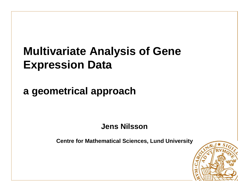# **Multivariate Analysis of Gene Expression Data**

**a geometrical approach**

**Jens Nilsson**

**Centre for Mathematical Sciences, Lund University**

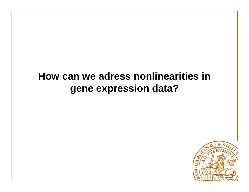#### **How can we adress nonlinearities in gene expression data?**

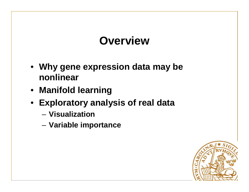# **Overview**

- **Why gene expression data may be nonlinear**
- **Manifold learning**
- **Exploratory analysis of real data**
	- **Visualization**
	- **Variable importance**

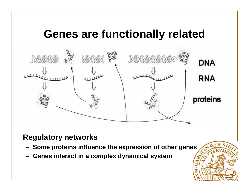### **Genes are functionally related**



#### **Regulatory networks**

- **Some proteins influence the expression of other genes**
- **Genes interact in a complex dynamical system**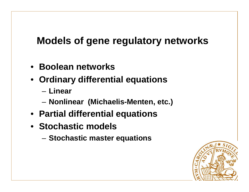#### **Models of gene regulatory networks**

- **Boolean networks**
- **Ordinary differential equations**
	- **Linear**
	- **Nonlinear (Michaelis-Menten, etc.)**
- **Partial differential equations**
- **Stochastic models**
	- **Stochastic master equations**

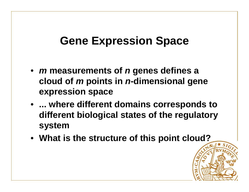# **Gene Expression Space**

- •**m measurements of n genes defines a cloud of m points in n-dimensional gene expression space**
- **... where different domains corresponds to different biological states of the regulatory system**
- **What is the structure of this point cloud?**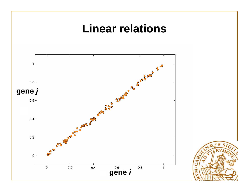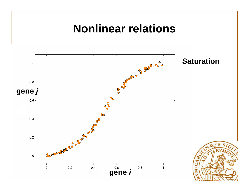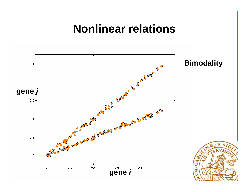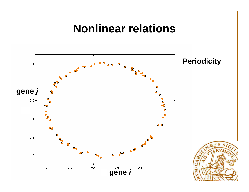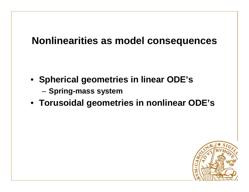#### **Nonlinearities as model consequences**

- **Spherical geometries in linear ODE's**
	- **Spring-mass system**
- **Torusoidal geometries in nonlinear ODE's**

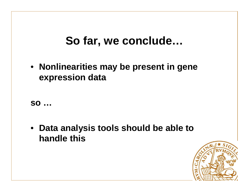### **So far, we conclude…**

• **Nonlinearities may be present in gene expression data**

**so …**

• **Data analysis tools should be able to handle this** 

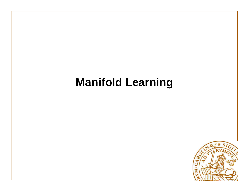# **Manifold Learning**

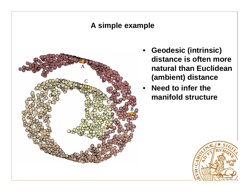#### **A simple example**



- • **Geodesic (intrinsic) distance is often more natural than Euclidean (ambient) distance**
- • **Need to infer the manifold structure**

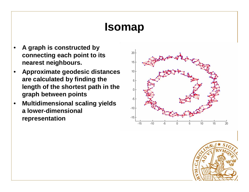# **Isomap**

- • **A graph is constructed by connecting each point to its nearest neighbours.**
- • **Approximate geodesic distances are calculated by finding the length of the shortest path in the graph between points**
- **Multidimensional scaling yields**  •**a lower-dimensional representation**



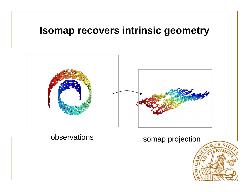#### **Isomap recovers intrinsic geometry**



#### observations

#### Isomap projection

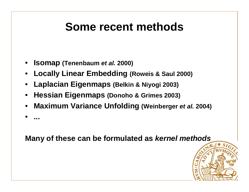### **Some recent methods**

- •**Isomap (Tenenbaum et al. 2000)**
- •**Locally Linear Embedding (Roweis & Saul 2000)**
- •**Laplacian Eigenmaps (Belkin & Niyogi 2003)**
- •**Hessian Eigenmaps (Donoho & Grimes 2003)**
- •**Maximum Variance Unfolding (Weinberger et al. 2004)**

•**...**

**Many of these can be formulated as kernel methods**

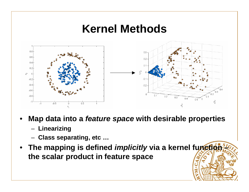### **Kernel Methods**



- • **Map data into <sup>a</sup>feature space with desirable properties**
	- **Linearizing**
	- **Class separating, etc …**
- *<b>f The mapping is defined <i>implicitly* via a kernel function  $\frac{1}{2}$ **the scalar product in feature space**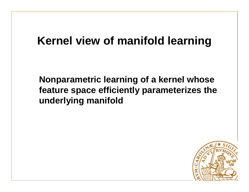# **Kernel view of manifold learning**

**Nonparametric learning of a kernel whose feature space efficiently parameterizes the underlying manifold**

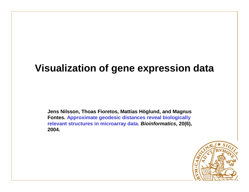### **Visualization of gene expression data**

**Jens Nilsson, Thoas Fioretos, Mattias Höglund, and Magnus Fontes. Approximate geodesic distances reveal biologically relevant structures in microarray data. Bioinformatics, 20(6), 2004.**

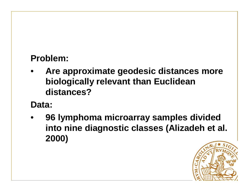#### **Problem:**

• **Are approximate geodesic distances more biologically relevant than Euclidean distances?** 

#### **Data:**

• **96 lymphoma microarray samples divided into nine diagnostic classes (Alizadeh et al. 2000)** 

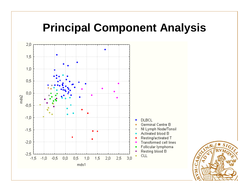### **Principal Component Analysis**

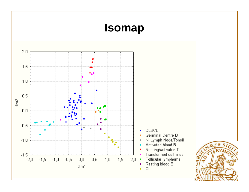# **Isomap**

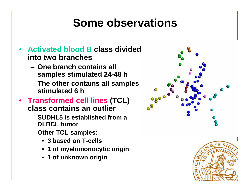### **Some observations**

- • **Activated blood B class divided into two branches**
	- – **One branch contains all samples stimulated 24-48 h**
	- – **The other contains all samples stimulated 6 h**
- **Transformed cell lines (TCL) class contains an outlier**
	- **SUDHL5 is established from a DLBCL tumor**
	- **Other TCL-samples:**
		- **3 based on T-cells**
		- **1 of myelomonocytic origin**
		- **1 of unknown origin**



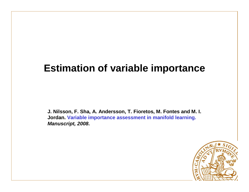#### **Estimation of variable importance**

**J. Nilsson, F. Sha, A. Andersson, T. Fioretos, M. Fontes and M. I. Jordan. Variable importance assessment in manifold learning.Manuscript, 2008.**

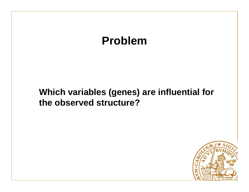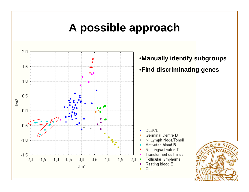### **A possible approach**

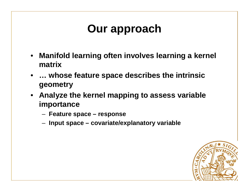# **Our approach**

- **Manifold learning often involves learning a kernel matrix**
- **… whose feature space describes the intrinsicgeometry**
- **Analyze the kernel mapping to assess variable importance**
	- **Feature space – response**
	- **Input space – covariate/explanatory variable**

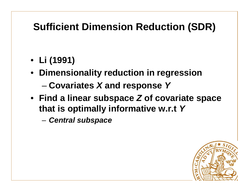### **Sufficient Dimension Reduction (SDR)**

- **Li (1991)**
- **Dimensionality reduction in regression**
	- **Covariates <sup>X</sup>and response Y**
- **Find a linear subspaceZ of covariate space that is optimally informative w.r.tY**
	- –**Central subspace**

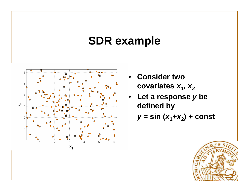# **SDR example**



- **Consider twocovariatesx<sup>1</sup>, x<sup>2</sup>**
- **Let a responsey be defined by**

$$
y = \sin(x_1 + x_2) + \text{const}
$$

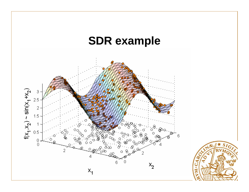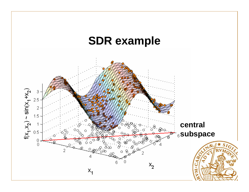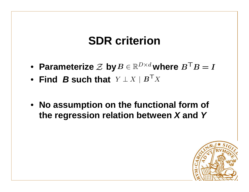# **SDR criterion**

- Parameterize  $\mathcal{Z}$  by  $B \in \mathbb{R}^{D \times d}$  where
- **Find <sup>B</sup> such that**
- **No assumption on the functional form of the regression relation between <sup>X</sup> and <sup>Y</sup>**

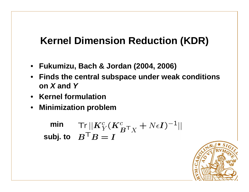### **Kernel Dimension Reduction (KDR)**

- **Fukumizu, Bach & Jordan (2004, 2006)**
- **Finds the central subspace under weak conditionson X and Y**
- **Kernel formulation**
- **Minimization problem**

**minsubj. to**

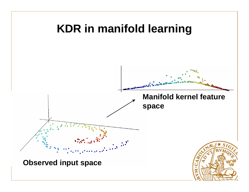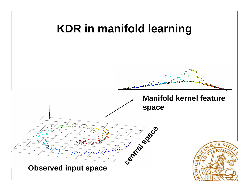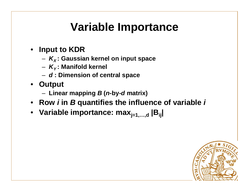# **Variable Importance**

- **Input to KDR**
	- K 'liaure **KX : Gaussian kernel on input space**
	- **KY : Manifold kernel**
	- –**d : Dimension of central space**
- **Output**
	- **Linear mapping <sup>B</sup> (n-by-d matrix)**
- •**Rowi in B quantifies the influence of variable i**
- **Variable importance: maxj=1,…,d |Bij** •**|**

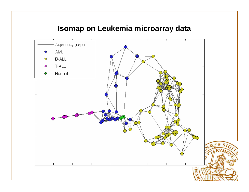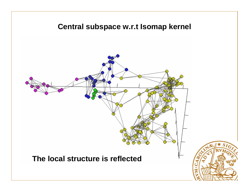

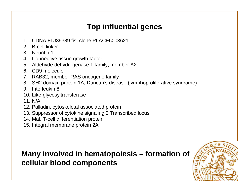#### **Top influential genes**

- 1. CDNA FLJ39389 fis, clone PLACE6003621
- 2. B-cell linker
- 3. Neuritin 1
- 4. Connective tissue growth factor
- 5. Aldehyde dehydrogenase 1 family, member A2
- 6. CD9 molecule
- 7. RAB32, member RAS oncogene family
- 8. SH2 domain protein 1A, Duncan's disease (lymphoproliferative syndrome)
- 9. Interleukin 8
- 10. Like-glycosyltransferase
- 11. N/A
- 12. Palladin, cytoskeletal associated protein
- 13. Suppressor of cytokine signaling 2|Transcribed locus
- 14. Mal, T-cell differentiation protein
- 15. Integral membrane protein 2A

#### **Many involved in hematopoiesis – formation ofcellular blood components**

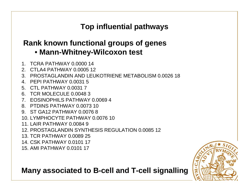#### **Top influential pathways**

#### **Rank known functional groups of genes**• **Mann-Whitney-Wilcoxon test**

- 1. TCRA PATHWAY 0.0000 14
- 2. CTLA4 PATHWAY 0.0005 12
- 3. PROSTAGLANDIN AND LEUKOTRIENE METABOLISM 0.0026 18
- 4. PEPI PATHWAY 0.0031 5
- 5. CTL PATHWAY 0.0031 7
- 6. TCR MOLECULE 0.0048 3
- 7. EOSINOPHILS PATHWAY 0.0069 4
- 8. PTDINS PATHWAY 0.0073 10
- 9. ST GA12 PATHWAY 0.0076 8
- 10. LYMPHOCYTE PATHWAY 0.0076 10
- 11. LAIR PATHWAY 0.0084 9
- 12. PROSTAGLANDIN SYNTHESIS REGULATION 0.0085 12
- 13. TCR PATHWAY 0.0089 25
- 14. CSK PATHWAY 0.0101 17
- 15. AMI PATHWAY 0.0101 17

**Many associated to B-cell and T-cell signalling**

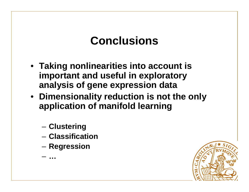# **Conclusions**

- **Taking nonlinearities into account is important and useful in exploratoryanalysis of gene expression data**
- **Dimensionality reduction is not the onlyapplication of manifold learning**
	- **Clustering**
	- –**Classification**
	- $-$  Regression

**…**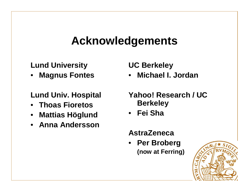### **Acknowledgements**

#### **Lund University**

 **Magnus Fontes**•

**Lund Univ. Hospital**

- **Thoas Fioretos**
- **Mattias Höglund**
- **Anna Andersson**

**UC Berkeley**

 **Michael I. Jordan**•

**Yahoo! Research / UC Berkeley**

• **Fei Sha**

#### **AstraZeneca**

 • **Per Broberg (now at Ferring)**

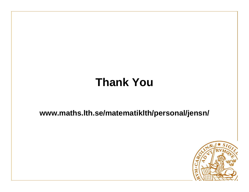# **Thank You**

**www.maths.lth.se/matematiklth/personal/jensn/**

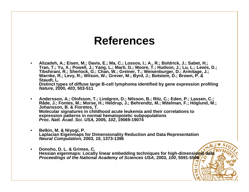### **References**

- • **Alizadeh, A.; Eisen, M.; Davis, E.; Ma, C.; Lossos, I.; A., R.; Boldrick, J.; Sabet, H.; Tran, T.; Yu, X.; Powell, J.; Yang, L.; Marti, G.; Moore, T.; Hudson, J.; Lu, L.; Lewis, D.; Tibshirani, R.; Sherlock, G.; Chan, W.; Greiner, T.; Weisenburger, D.; Armitage, J.; Warnke, R.; Levy, R.; Wilson, W.; Grever, M.; Byrd, J.; Botstein, D.; Brown, P. & Staudt, L. Distinct types of diffuse large B-cell lymphoma identified by gene expression profiling Nature, 2000, 403, 503-511**
- • **Andersson, A.; Olofsson, T.; Lindgren, D.; Nilsson, B.; Ritz, C.; Eden, P.; Lassen, C.; Råde, J.; Fontes, M.; Morse, H.; Heldrup, J.; Behrendtz, M.; Mitelman, F.; Höglund, M.; Johansson, B. & Fioretos, T. Molecular signatures in childhood acute leukemia and their correlations to expression patterns in normal hematopoietic subpopulations Proc. Natl. Acad. Sci. USA, 2005, 102, 19069-19074**
- • **Belkin, M. & Niyogi, P. Laplacian Eigenmaps for Dimensionality Reduction and Data Representation Neural Computation, 2003, 15, 1373-1396**
- • **Donoho, D. L. & Grimes, C. Hessian eigenmaps: Locally linear embedding techniques for high-dimensional data Proceedings of the National Academy of Sciences USA, 2003, 100, 5591-5596**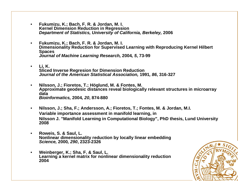- • **Fukumizu, K.; Bach, F. R. & Jordan, M. I. Kernel Dimension Reduction in Regression Department of Statistics, University of California, Berkeley, 2006**
- • **Fukumizu, K.; Bach, F. R. & Jordan, M. I. Dimensionality Reduction for Supervised Learning with Reproducing Kernel Hilbert Spaces Journal of Machine Learning Research, 2004, 5, 73-99**
- • **Li, K. Sliced Inverse Regresion for Dimension Reduction Journal of the American Statistical Association, 1991, 86, 316-327**
- • **Nilsson, J.; Fioretos, T.; Höglund, M. & Fontes, M. Approximate geodesic distances reveal biologically relevant structures in microarraydata Bioinformatics, 2004, 20, 874-880**
- $\bullet$  **Nilsson, J.; Sha, F.; Andersson, A.; Fioretos, T.; Fontes, M. & Jordan, M.I. Variable importance assessment in manifold learning, in Nilsson J. "Manifold Learning in Computational Biology", PhD thesis, Lund University 2008**
- $\bullet$  **Roweis, S. & Saul, L. Nonlinear dimensionality reduction by locally linear embedding Science, 2000, 290, 2323-2326**
- $\bullet$  **Weinberger, K.; Sha, F. & Saul, L. Learning a kernel matrix for nonlinear dimensionality reduction 2004**